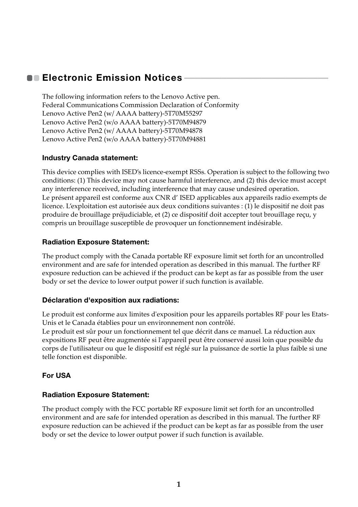## **Electronic Emission Notices**

The following information refers to the Lenovo Active pen. Federal Communications Commission Declaration of Conformity Lenovo Active Pen2 (w/ AAAA battery)-5T70M55297 Lenovo Active Pen2 (w/o AAAA battery)-5T70M94879 Lenovo Active Pen2 (w/ AAAA battery)-5T70M94878 Lenovo Active Pen2 (w/o AAAA battery)-5T70M94881

## **Industry Canada statement:**

This device complies with ISED's licence-exempt RSSs. Operation is subject to the following two conditions: (1) This device may not cause harmful interference, and (2) this device must accept any interference received, including interference that may cause undesired operation. Le présent appareil est conforme aux CNR d' ISED applicables aux appareils radio exempts de licence. L'exploitation est autorisée aux deux conditions suivantes : (1) le dispositif ne doit pas produire de brouillage préjudiciable, et (2) ce dispositif doit accepter tout brouillage reçu, y compris un brouillage susceptible de provoquer un fonctionnement indésirable.

## **Radiation Exposure Statement:**

The product comply with the Canada portable RF exposure limit set forth for an uncontrolled environment and are safe for intended operation as described in this manual. The further RF exposure reduction can be achieved if the product can be kept as far as possible from the user body or set the device to lower output power if such function is available.

#### **Déclaration d'exposition aux radiations:**

Le produit est conforme aux limites d'exposition pour les appareils portables RF pour les Etats-Unis et le Canada établies pour un environnement non contrôlé.

Le produit est sûr pour un fonctionnement tel que décrit dans ce manuel. La réduction aux expositions RF peut être augmentée si l'appareil peut être conservé aussi loin que possible du corps de l'utilisateur ou que le dispositif est réglé sur la puissance de sortie la plus faible si une telle fonction est disponible.

## **For USA**

#### **Radiation Exposure Statement:**

The product comply with the FCC portable RF exposure limit set forth for an uncontrolled environment and are safe for intended operation as described in this manual. The further RF exposure reduction can be achieved if the product can be kept as far as possible from the user body or set the device to lower output power if such function is available.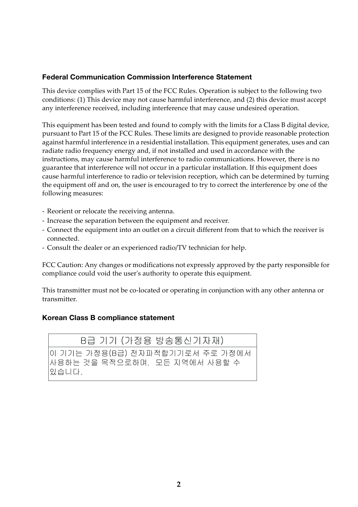#### **Federal Communication Commission Interference Statement**

This device complies with Part 15 of the FCC Rules. Operation is subject to the following two conditions: (1) This device may not cause harmful interference, and (2) this device must accept any interference received, including interference that may cause undesired operation.

This equipment has been tested and found to comply with the limits for a Class B digital device, pursuant to Part 15 of the FCC Rules. These limits are designed to provide reasonable protection against harmful interference in a residential installation. This equipment generates, uses and can radiate radio frequency energy and, if not installed and used in accordance with the instructions, may cause harmful interference to radio communications. However, there is no guarantee that interference will not occur in a particular installation. If this equipment does cause harmful interference to radio or television reception, which can be determined by turning the equipment off and on, the user is encouraged to try to correct the interference by one of the following measures:

- Reorient or relocate the receiving antenna.
- Increase the separation between the equipment and receiver.
- Connect the equipment into an outlet on a circuit different from that to which the receiver is connected.
- Consult the dealer or an experienced radio/TV technician for help.

FCC Caution: Any changes or modifications not expressly approved by the party responsible for compliance could void the user's authority to operate this equipment.

This transmitter must not be co-located or operating in conjunction with any other antenna or transmitter.

#### **Korean Class B compliance statement**

B급 기기 (가정용 방송통신기자재) 이 기기는 가정용(B급) 전자파적합기기로서 주로 가정에서 사용하는 것을 목적으로하며, 모든 지역에서 사용할 수 있습니다.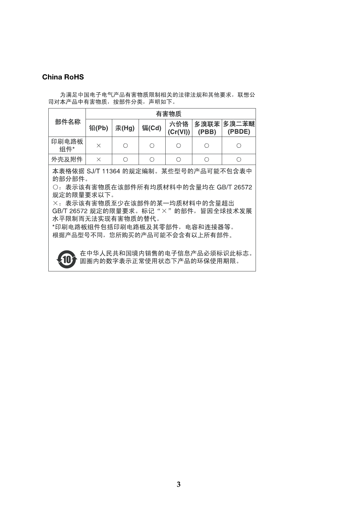#### **China RoHS**

为满足中国电子电气产品有害物质限制相关的法律法规和其他要求, 联想公 司对本产品中有害物质, 按部件分类, 声明如下。

| 部件名称                                      | 有害物质     |       |       |                 |       |                      |
|-------------------------------------------|----------|-------|-------|-----------------|-------|----------------------|
|                                           | 铅(Pb)    | 汞(Hg) | 镉(Cd) | 六价铬<br>(Cr(VI)) | (PBB) | 多溴联苯 多溴二苯醚<br>(PBDE) |
| 印刷电路板<br>组件*                              | $\times$ | О     | Ω     |                 |       |                      |
| 外壳及附件                                     | $\times$ |       |       |                 |       |                      |
| 本表格依据 SJ/T 11364 的规定编制。<br>某些型号的产品可能不包含表中 |          |       |       |                 |       |                      |

的部分部件。

○: 表示该有害物质在该部件所有均质材料中的含量均在 GB/T 26572 规定的限量要求以下。

×: 表示该有害物质至少在该部件的某一均质材料中的含量超出 GB/T 26572 规定的限量要求。标记"×"的部件,皆因全球技术发展 水平限制而无法实现有害物质的替代。

\*印刷电路板组件包括印刷电路板及其零部件, 电容和连接器等。 根据产品型号不同,您所购买的产品可能不会含有以上所有部件。



在中华人民共和国境内销售的电子信息产品必须标识此标志。 圆圈内的数字表示正常使用状态下产品的环保使用期限。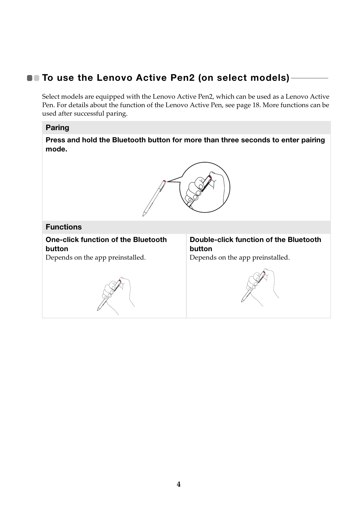# **To use the Lenovo Active Pen2 (on select models) -**

Select models are equipped with the Lenovo Active Pen2, which can be used as a Lenovo Active Pen. For details about the function of the Lenovo Active Pen, see page 18. More functions can be used after successful paring.

## **Paring**

**Press and hold the Bluetooth button for more than three seconds to enter pairing mode.**



## **Functions**

**One-click function of the Bluetooth button**

Depends on the app preinstalled.



**Double-click function of the Bluetooth button**

Depends on the app preinstalled.